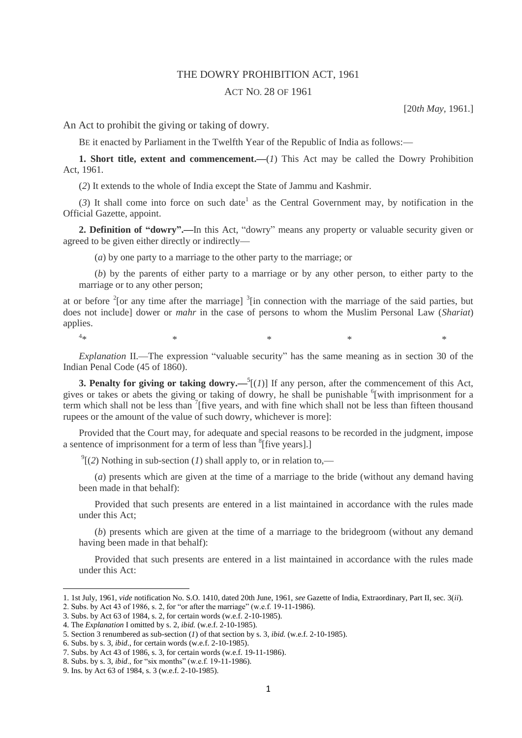## THE DOWRY PROHIBITION ACT, 1961

## ACT NO. 28 OF 1961

[20*th May,* 1961.]

An Act to prohibit the giving or taking of dowry.

BE it enacted by Parliament in the Twelfth Year of the Republic of India as follows:—

**1. Short title, extent and commencement.—**(*1*) This Act may be called the Dowry Prohibition Act, 1961.

(*2*) It extends to the whole of India except the State of Jammu and Kashmir.

 $(3)$  It shall come into force on such date<sup>1</sup> as the Central Government may, by notification in the Official Gazette, appoint.

**2. Definition of "dowry".—**In this Act, "dowry" means any property or valuable security given or agreed to be given either directly or indirectly—

(*a*) by one party to a marriage to the other party to the marriage; or

(*b*) by the parents of either party to a marriage or by any other person, to either party to the marriage or to any other person;

at or before  $2$ [or any time after the marriage]  $3$ [in connection with the marriage of the said parties, but does not include] dower or *mahr* in the case of persons to whom the Muslim Personal Law (*Shariat*) applies.

 $4*$  $*$   $*$   $*$   $*$   $*$   $*$ 

**.** 

*Explanation* II.—The expression "valuable security" has the same meaning as in section 30 of the Indian Penal Code (45 of 1860).

**3. Penalty for giving or taking dowry.**— $^{5}$ [(*1*)] If any person, after the commencement of this Act, gives or takes or abets the giving or taking of dowry, he shall be punishable <sup>6</sup>[with imprisonment for a term which shall not be less than <sup>7</sup>[five years, and with fine which shall not be less than fifteen thousand rupees or the amount of the value of such dowry, whichever is more]:

Provided that the Court may, for adequate and special reasons to be recorded in the judgment, impose a sentence of imprisonment for a term of less than <sup>8</sup>[five years].]

 $^{9}$ [(2) Nothing in sub-section (*1*) shall apply to, or in relation to,—

(*a*) presents which are given at the time of a marriage to the bride (without any demand having been made in that behalf):

Provided that such presents are entered in a list maintained in accordance with the rules made under this Act;

(*b*) presents which are given at the time of a marriage to the bridegroom (without any demand having been made in that behalf):

Provided that such presents are entered in a list maintained in accordance with the rules made under this Act:

<sup>1. 1</sup>st July, 1961, *vide* notification No. S.O. 1410, dated 20th June, 1961, *see* Gazette of India, Extraordinary, Part II, sec. 3(*ii*).

<sup>2.</sup> Subs. by Act 43 of 1986, s. 2, for "or after the marriage" (w.e.f. 19-11-1986).

<sup>3.</sup> Subs. by Act 63 of 1984, s. 2, for certain words (w.e.f. 2-10-1985).

<sup>4.</sup> The *Explanation* I omitted by s. 2, *ibid.* (w.e.f. 2-10-1985).

<sup>5.</sup> Section 3 renumbered as sub-section (*1*) of that section by s. 3, *ibid.* (w.e.f. 2-10-1985).

<sup>6.</sup> Subs. by s. 3, *ibid*., for certain words (w.e.f. 2-10-1985).

<sup>7.</sup> Subs. by Act 43 of 1986, s. 3, for certain words (w.e.f. 19-11-1986).

<sup>8.</sup> Subs. by s. 3, *ibid*., for "six months" (w.e.f. 19-11-1986).

<sup>9.</sup> Ins. by Act 63 of 1984, s. 3 (w.e.f. 2-10-1985).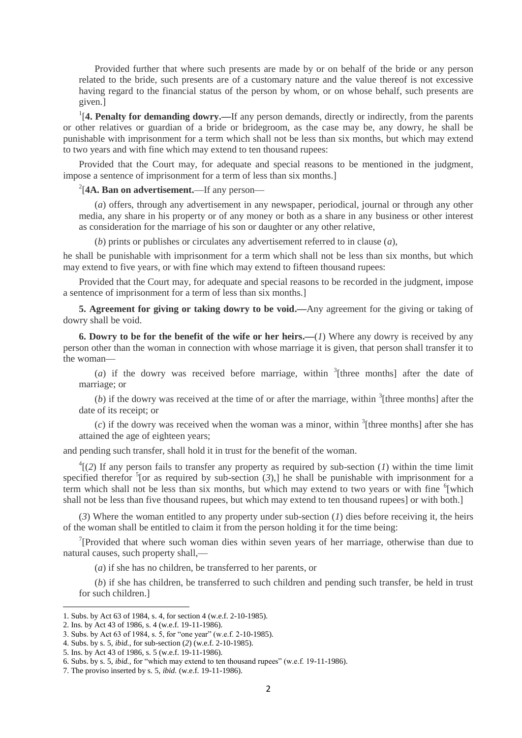Provided further that where such presents are made by or on behalf of the bride or any person related to the bride, such presents are of a customary nature and the value thereof is not excessive having regard to the financial status of the person by whom, or on whose behalf, such presents are given.]

<sup>1</sup>[4. Penalty for demanding dowry.—If any person demands, directly or indirectly, from the parents or other relatives or guardian of a bride or bridegroom, as the case may be, any dowry, he shall be punishable with imprisonment for a term which shall not be less than six months, but which may extend to two years and with fine which may extend to ten thousand rupees:

Provided that the Court may, for adequate and special reasons to be mentioned in the judgment, impose a sentence of imprisonment for a term of less than six months.]

## 2 [**4A. Ban on advertisement.**—If any person—

(*a*) offers, through any advertisement in any newspaper, periodical, journal or through any other media, any share in his property or of any money or both as a share in any business or other interest as consideration for the marriage of his son or daughter or any other relative,

(*b*) prints or publishes or circulates any advertisement referred to in clause (*a*),

he shall be punishable with imprisonment for a term which shall not be less than six months, but which may extend to five years, or with fine which may extend to fifteen thousand rupees:

Provided that the Court may, for adequate and special reasons to be recorded in the judgment, impose a sentence of imprisonment for a term of less than six months.]

**5. Agreement for giving or taking dowry to be void.—**Any agreement for the giving or taking of dowry shall be void.

**6. Dowry to be for the benefit of the wife or her heirs.—**(*1*) Where any dowry is received by any person other than the woman in connection with whose marriage it is given, that person shall transfer it to the woman—

(*a*) if the dowry was received before marriage, within  $\frac{3}{1}$  [three months] after the date of marriage; or

 $(b)$  if the dowry was received at the time of or after the marriage, within  $\frac{3}{1}$  [three months] after the date of its receipt; or

 $(c)$  if the dowry was received when the woman was a minor, within <sup>3</sup>[three months] after she has attained the age of eighteen years;

and pending such transfer, shall hold it in trust for the benefit of the woman.

 $^{4}$ [(2) If any person fails to transfer any property as required by sub-section (*1*) within the time limit specified therefor  ${}^{5}$  [or as required by sub-section  $(3)$ ,] he shall be punishable with imprisonment for a term which shall not be less than six months, but which may extend to two years or with fine <sup>6</sup>[which shall not be less than five thousand rupees, but which may extend to ten thousand rupees] or with both.]

(*3*) Where the woman entitled to any property under sub-section (*1*) dies before receiving it, the heirs of the woman shall be entitled to claim it from the person holding it for the time being:

<sup>7</sup>[Provided that where such woman dies within seven years of her marriage, otherwise than due to natural causes, such property shall,—

(*a*) if she has no children, be transferred to her parents, or

(*b*) if she has children, be transferred to such children and pending such transfer, be held in trust for such children.]

1

<sup>1.</sup> Subs. by Act 63 of 1984, s. 4, for section 4 (w.e.f. 2-10-1985).

<sup>2.</sup> Ins. by Act 43 of 1986, s. 4 (w.e.f. 19-11-1986).

<sup>3.</sup> Subs. by Act 63 of 1984, s. 5, for "one year" (w.e.f. 2-10-1985).

<sup>4.</sup> Subs. by s. 5, *ibid.,* for sub-section (*2*) (w.e.f. 2-10-1985).

<sup>5.</sup> Ins. by Act 43 of 1986, s. 5 (w.e.f. 19-11-1986).

<sup>6.</sup> Subs. by s. 5, *ibid.,* for "which may extend to ten thousand rupees" (w.e.f. 19-11-1986).

<sup>7.</sup> The proviso inserted by s. 5, *ibid.* (w.e.f. 19-11-1986).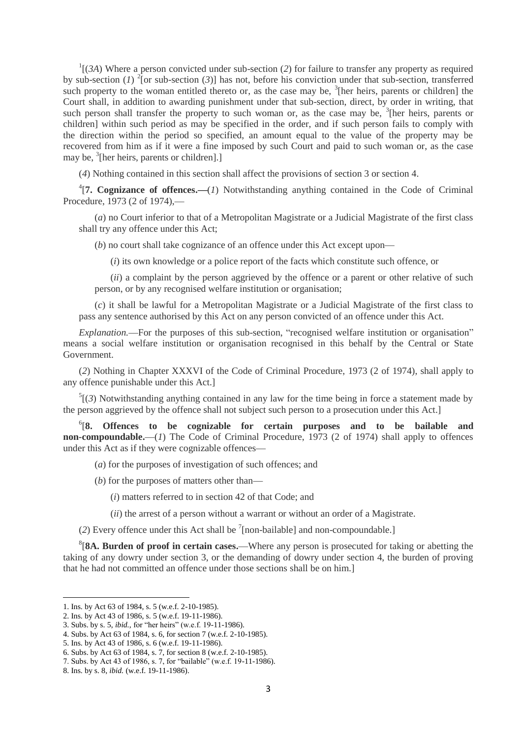$\int$ <sup>1</sup>[(*3A*) Where a person convicted under sub-section (*2*) for failure to transfer any property as required by sub-section (*1*) <sup>2</sup>[or sub-section (3)] has not, before his conviction under that sub-section, transferred such property to the woman entitled thereto or, as the case may be,  ${}^{3}$ [her heirs, parents or children] the Court shall, in addition to awarding punishment under that sub-section, direct, by order in writing, that such person shall transfer the property to such woman or, as the case may be, <sup>3</sup>[her heirs, parents or children] within such period as may be specified in the order, and if such person fails to comply with the direction within the period so specified, an amount equal to the value of the property may be recovered from him as if it were a fine imposed by such Court and paid to such woman or, as the case may be, <sup>3</sup>[her heirs, parents or children].]

(*4*) Nothing contained in this section shall affect the provisions of section 3 or section 4.

4 [**7. Cognizance of offences.—**(*1*) Notwithstanding anything contained in the Code of Criminal Procedure, 1973 (2 of 1974),—

(*a*) no Court inferior to that of a Metropolitan Magistrate or a Judicial Magistrate of the first class shall try any offence under this Act;

(*b*) no court shall take cognizance of an offence under this Act except upon—

(*i*) its own knowledge or a police report of the facts which constitute such offence, or

(*ii*) a complaint by the person aggrieved by the offence or a parent or other relative of such person, or by any recognised welfare institution or organisation;

(*c*) it shall be lawful for a Metropolitan Magistrate or a Judicial Magistrate of the first class to pass any sentence authorised by this Act on any person convicted of an offence under this Act.

*Explanation.*—For the purposes of this sub-section, "recognised welfare institution or organisation" means a social welfare institution or organisation recognised in this behalf by the Central or State Government.

(*2*) Nothing in Chapter XXXVI of the Code of Criminal Procedure, 1973 (2 of 1974), shall apply to any offence punishable under this Act.]

 $<sup>5</sup>$ [(3) Notwithstanding anything contained in any law for the time being in force a statement made by</sup> the person aggrieved by the offence shall not subject such person to a prosecution under this Act.]

6 [**8. Offences to be cognizable for certain purposes and to be bailable and non-compoundable.**—(*1*) The Code of Criminal Procedure, 1973 (2 of 1974) shall apply to offences under this Act as if they were cognizable offences—

- (*a*) for the purposes of investigation of such offences; and
- (*b*) for the purposes of matters other than—
	- (*i*) matters referred to in section 42 of that Code; and
	- (*ii*) the arrest of a person without a warrant or without an order of a Magistrate.
- (2) Every offence under this Act shall be  $\frac{7}{2}$ [non-bailable] and non-compoundable.]

8 [**8A. Burden of proof in certain cases.**—Where any person is prosecuted for taking or abetting the taking of any dowry under section 3, or the demanding of dowry under section 4, the burden of proving that he had not committed an offence under those sections shall be on him.]

 $\overline{a}$ 

<sup>1.</sup> Ins. by Act 63 of 1984, s. 5 (w.e.f. 2-10-1985).

<sup>2.</sup> Ins. by Act 43 of 1986, s. 5 (w.e.f. 19-11-1986).

<sup>3.</sup> Subs. by s. 5, *ibid.,* for "her heirs" (w.e.f. 19-11-1986).

<sup>4.</sup> Subs. by Act 63 of 1984, s. 6, for section 7 (w.e.f. 2-10-1985).

<sup>5.</sup> Ins. by Act 43 of 1986, s. 6 (w.e.f. 19-11-1986).

<sup>6.</sup> Subs. by Act 63 of 1984, s. 7, for section 8 (w.e.f. 2-10-1985).

<sup>7.</sup> Subs. by Act 43 of 1986, s. 7, for "bailable" (w.e.f. 19-11-1986).

<sup>8.</sup> Ins. by s. 8, *ibid.* (w.e.f. 19-11-1986).